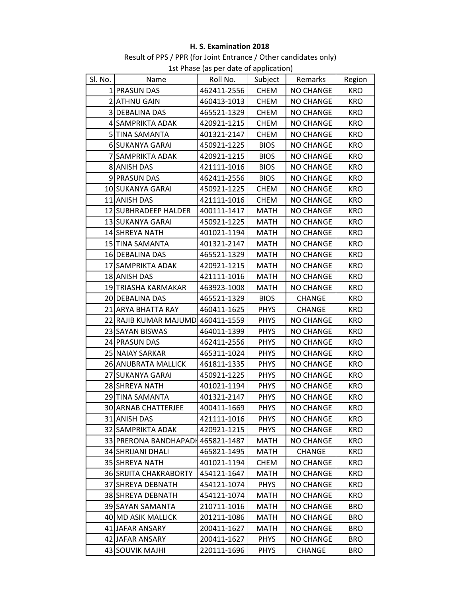## H. S. Examination 2018

Result of PPS / PPR (for Joint Entrance / Other candidates only) 1st Phase (as per date of application)

| ISt Priase (as per date or application) |                               |             |             |                  |            |  |  |
|-----------------------------------------|-------------------------------|-------------|-------------|------------------|------------|--|--|
| Sl. No.                                 | Name                          | Roll No.    | Subject     | Remarks          | Region     |  |  |
|                                         | 1 PRASUN DAS                  | 462411-2556 | <b>CHEM</b> | <b>NO CHANGE</b> | <b>KRO</b> |  |  |
|                                         | 2 ATHNU GAIN                  | 460413-1013 | <b>CHEM</b> | <b>NO CHANGE</b> | <b>KRO</b> |  |  |
|                                         | <b>3 DEBALINA DAS</b>         | 465521-1329 | <b>CHEM</b> | <b>NO CHANGE</b> | <b>KRO</b> |  |  |
|                                         | 4 SAMPRIKTA ADAK              | 420921-1215 | <b>CHEM</b> | <b>NO CHANGE</b> | <b>KRO</b> |  |  |
|                                         | 5 TINA SAMANTA                | 401321-2147 | <b>CHEM</b> | <b>NO CHANGE</b> | <b>KRO</b> |  |  |
|                                         | 6 SUKANYA GARAI               | 450921-1225 | <b>BIOS</b> | <b>NO CHANGE</b> | <b>KRO</b> |  |  |
|                                         | 7 SAMPRIKTA ADAK              | 420921-1215 | <b>BIOS</b> | <b>NO CHANGE</b> | <b>KRO</b> |  |  |
|                                         | 8 ANISH DAS                   | 421111-1016 | <b>BIOS</b> | <b>NO CHANGE</b> | <b>KRO</b> |  |  |
|                                         | 9 PRASUN DAS                  | 462411-2556 | <b>BIOS</b> | <b>NO CHANGE</b> | <b>KRO</b> |  |  |
|                                         | 10 SUKANYA GARAI              | 450921-1225 | <b>CHEM</b> | <b>NO CHANGE</b> | <b>KRO</b> |  |  |
|                                         | 11 ANISH DAS                  | 421111-1016 | <b>CHEM</b> | <b>NO CHANGE</b> | <b>KRO</b> |  |  |
|                                         | 12 SUBHRADEEP HALDER          | 400111-1417 | <b>MATH</b> | <b>NO CHANGE</b> | <b>KRO</b> |  |  |
|                                         | 13 SUKANYA GARAI              | 450921-1225 | <b>MATH</b> | <b>NO CHANGE</b> | <b>KRO</b> |  |  |
|                                         | 14 SHREYA NATH                | 401021-1194 | <b>MATH</b> | <b>NO CHANGE</b> | <b>KRO</b> |  |  |
|                                         | 15 TINA SAMANTA               | 401321-2147 | <b>MATH</b> | <b>NO CHANGE</b> | <b>KRO</b> |  |  |
|                                         | 16 DEBALINA DAS               | 465521-1329 | MATH        | <b>NO CHANGE</b> | <b>KRO</b> |  |  |
|                                         | 17 SAMPRIKTA ADAK             | 420921-1215 | <b>MATH</b> | <b>NO CHANGE</b> | <b>KRO</b> |  |  |
|                                         | 18 ANISH DAS                  | 421111-1016 | <b>MATH</b> | <b>NO CHANGE</b> | <b>KRO</b> |  |  |
|                                         | 19 TRIASHA KARMAKAR           | 463923-1008 | <b>MATH</b> | <b>NO CHANGE</b> | <b>KRO</b> |  |  |
|                                         | 20 DEBALINA DAS               | 465521-1329 | <b>BIOS</b> | <b>CHANGE</b>    | <b>KRO</b> |  |  |
|                                         | 21 ARYA BHATTA RAY            | 460411-1625 | <b>PHYS</b> | <b>CHANGE</b>    | <b>KRO</b> |  |  |
|                                         | 22 RAJIB KUMAR MAJUMD         | 460411-1559 | <b>PHYS</b> | <b>NO CHANGE</b> | <b>KRO</b> |  |  |
|                                         | 23 SAYAN BISWAS               | 464011-1399 | <b>PHYS</b> | <b>NO CHANGE</b> | <b>KRO</b> |  |  |
|                                         | 24 PRASUN DAS                 | 462411-2556 | <b>PHYS</b> | <b>NO CHANGE</b> | <b>KRO</b> |  |  |
|                                         | 25 NAIAY SARKAR               | 465311-1024 | <b>PHYS</b> | <b>NO CHANGE</b> | <b>KRO</b> |  |  |
|                                         | 26 ANUBRATA MALLICK           | 461811-1335 | <b>PHYS</b> | <b>NO CHANGE</b> | <b>KRO</b> |  |  |
|                                         | 27 SUKANYA GARAI              | 450921-1225 | <b>PHYS</b> | <b>NO CHANGE</b> | <b>KRO</b> |  |  |
|                                         | 28 SHREYA NATH                | 401021-1194 | <b>PHYS</b> | <b>NO CHANGE</b> | <b>KRO</b> |  |  |
|                                         | 29 TINA SAMANTA               | 401321-2147 | <b>PHYS</b> | NO CHANGE        | <b>KRO</b> |  |  |
|                                         | 30 ARNAB CHATTERJEE           | 400411-1669 | <b>PHYS</b> | NO CHANGE        | <b>KRO</b> |  |  |
|                                         | 31 ANISH DAS                  | 421111-1016 | <b>PHYS</b> | <b>NO CHANGE</b> | <b>KRO</b> |  |  |
|                                         | <b>32 SAMPRIKTA ADAK</b>      | 420921-1215 | <b>PHYS</b> | <b>NO CHANGE</b> | KRO        |  |  |
|                                         | 33 PRERONA BANDHAPADI         | 465821-1487 | <b>MATH</b> | <b>NO CHANGE</b> | <b>KRO</b> |  |  |
|                                         | 34 SHRIJANI DHALI             | 465821-1495 | <b>MATH</b> | <b>CHANGE</b>    | <b>KRO</b> |  |  |
|                                         | 35 SHREYA NATH                | 401021-1194 | <b>CHEM</b> | <b>NO CHANGE</b> | <b>KRO</b> |  |  |
|                                         | <b>36 SRIJITA CHAKRABORTY</b> | 454121-1647 | <b>MATH</b> | <b>NO CHANGE</b> | <b>KRO</b> |  |  |
|                                         | 37 SHREYA DEBNATH             | 454121-1074 | <b>PHYS</b> | <b>NO CHANGE</b> | <b>KRO</b> |  |  |
|                                         | 38 SHREYA DEBNATH             | 454121-1074 | <b>MATH</b> | <b>NO CHANGE</b> | <b>KRO</b> |  |  |
|                                         | 39 SAYAN SAMANTA              | 210711-1016 | <b>MATH</b> | <b>NO CHANGE</b> | <b>BRO</b> |  |  |
|                                         | 40 MD ASIK MALLICK            | 201211-1086 | MATH        | <b>NO CHANGE</b> | <b>BRO</b> |  |  |
|                                         | 41 JAFAR ANSARY               | 200411-1627 | <b>MATH</b> | <b>NO CHANGE</b> | <b>BRO</b> |  |  |
|                                         | 42 JJAFAR ANSARY              | 200411-1627 | <b>PHYS</b> | <b>NO CHANGE</b> | <b>BRO</b> |  |  |
|                                         | 43 SOUVIK MAJHI               | 220111-1696 | <b>PHYS</b> | <b>CHANGE</b>    | <b>BRO</b> |  |  |